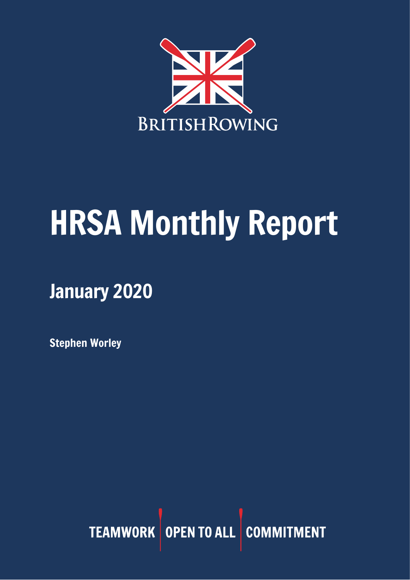

# HRSA Monthly Report

January 2020

Stephen Worley

TEAMWORK OPEN TO ALL COMMITMENT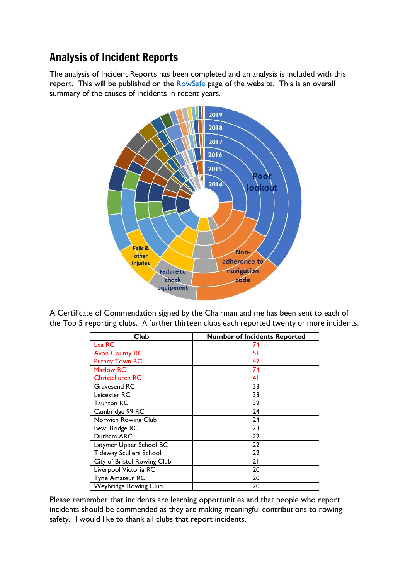# Analysis of Incident Reports

The analysis of Incident Reports has been completed and an analysis is included with this report. This will be published on the [RowSafe](https://www.britishrowing.org/about-us/policies-guidance/rowsafe/) page of the website. This is an overall summary of the causes of incidents in recent years.



A Certificate of Commendation signed by the Chairman and me has been sent to each of the Top 5 reporting clubs. A further thirteen clubs each reported twenty or more incidents.

| Club                           | <b>Number of Incidents Reported</b> |
|--------------------------------|-------------------------------------|
| Lea RC                         | 74                                  |
| <b>Avon County RC</b>          | 51                                  |
| <b>Putney Town RC</b>          | 47                                  |
| <b>Marlow RC</b>               | 74                                  |
| <b>Christchurch RC</b>         | 41                                  |
| Gravesend RC                   | 33                                  |
| Leicester RC                   | 33                                  |
| <b>Taunton RC</b>              | 32                                  |
| Cambridge 99 RC                | 24                                  |
| Norwich Rowing Club            | 24                                  |
| <b>Bewl Bridge RC</b>          | 23                                  |
| Durham ARC                     | 22                                  |
| Latymer Upper School BC        | 22                                  |
| <b>Tideway Scullers School</b> | 22                                  |
| City of Bristol Rowing Club    | 21                                  |
| Liverpool Victoria RC          | 20                                  |
| Tyne Amateur RC                | 20                                  |
| Weybridge Rowing Club          | 20                                  |

Please remember that incidents are learning opportunities and that people who report incidents should be commended as they are making meaningful contributions to rowing safety. I would like to thank all clubs that report incidents.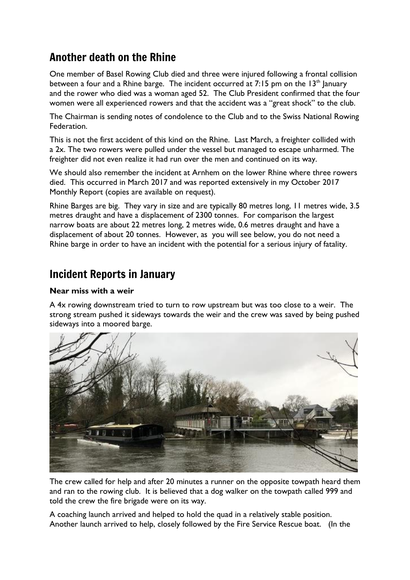# Another death on the Rhine

One member of Basel Rowing Club died and three were injured following a frontal collision between a four and a Rhine barge. The incident occurred at 7:15 pm on the  $13<sup>th</sup>$  January and the rower who died was a woman aged 52. The Club President confirmed that the four women were all experienced rowers and that the accident was a "great shock" to the club.

The Chairman is sending notes of condolence to the Club and to the Swiss National Rowing **Federation** 

This is not the first accident of this kind on the Rhine. Last March, a freighter collided with a 2x. The two rowers were pulled under the vessel but managed to escape unharmed. The freighter did not even realize it had run over the men and continued on its way.

We should also remember the incident at Arnhem on the lower Rhine where three rowers died. This occurred in March 2017 and was reported extensively in my October 2017 Monthly Report (copies are available on request).

Rhine Barges are big. They vary in size and are typically 80 metres long, 11 metres wide, 3.5 metres draught and have a displacement of 2300 tonnes. For comparison the largest narrow boats are about 22 metres long, 2 metres wide, 0.6 metres draught and have a displacement of about 20 tonnes. However, as you will see below, you do not need a Rhine barge in order to have an incident with the potential for a serious injury of fatality.

## Incident Reports in January

#### **Near miss with a weir**

A 4x rowing downstream tried to turn to row upstream but was too close to a weir. The strong stream pushed it sideways towards the weir and the crew was saved by being pushed sideways into a moored barge.



The crew called for help and after 20 minutes a runner on the opposite towpath heard them and ran to the rowing club. It is believed that a dog walker on the towpath called 999 and told the crew the fire brigade were on its way.

A coaching launch arrived and helped to hold the quad in a relatively stable position. Another launch arrived to help, closely followed by the Fire Service Rescue boat. (In the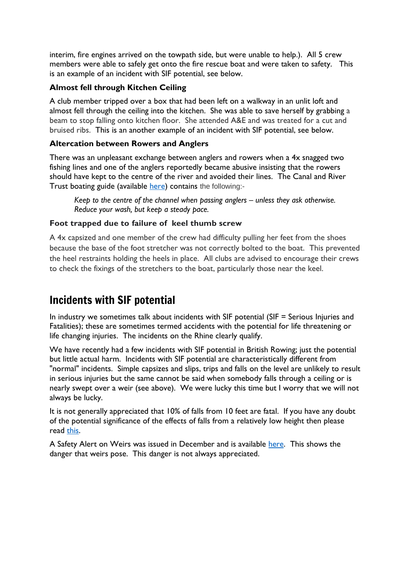interim, fire engines arrived on the towpath side, but were unable to help.). All 5 crew members were able to safely get onto the fire rescue boat and were taken to safety. This is an example of an incident with SIF potential, see below.

## **Almost fell through Kitchen Ceiling**

A club member tripped over a box that had been left on a walkway in an unlit loft and almost fell through the ceiling into the kitchen. She was able to save herself by grabbing a beam to stop falling onto kitchen floor. She attended A&E and was treated for a cut and bruised ribs. This is an another example of an incident with SIF potential, see below.

#### **Altercation between Rowers and Anglers**

There was an unpleasant exchange between anglers and rowers when a 4x snagged two fishing lines and one of the anglers reportedly became abusive insisting that the rowers should have kept to the centre of the river and avoided their lines. The Canal and River Trust boating guide (available [here\)](https://canalrivertrust.org.uk/media/library/141.pdf) contains the following:-

*Keep to the centre of the channel when passing anglers – unless they ask otherwise. Reduce your wash, but keep a steady pace.*

## **Foot trapped due to failure of keel thumb screw**

A 4x capsized and one member of the crew had difficulty pulling her feet from the shoes because the base of the foot stretcher was not correctly bolted to the boat. This prevented the heel restraints holding the heels in place. All clubs are advised to encourage their crews to check the fixings of the stretchers to the boat, particularly those near the keel.

# Incidents with SIF potential

In industry we sometimes talk about incidents with SIF potential (SIF = Serious Injuries and Fatalities); these are sometimes termed accidents with the potential for life threatening or life changing injuries. The incidents on the Rhine clearly qualify.

We have recently had a few incidents with SIF potential in British Rowing; just the potential but little actual harm. Incidents with SIF potential are characteristically different from "normal" incidents. Simple capsizes and slips, trips and falls on the level are unlikely to result in serious injuries but the same cannot be said when somebody falls through a ceiling or is nearly swept over a weir (see above). We were lucky this time but I worry that we will not always be lucky.

It is not generally appreciated that 10% of falls from 10 feet are fatal. If you have any doubt of the potential significance of the effects of falls from a relatively low height then please read [this.](https://press.hse.gov.uk/2020/01/14/shipping-company-fined-after-worker-fell-from-height-and-suffered-life-changing-injuries/?utm_source=govdelivery&utm_medium=email&utm_campaign=press-pw-2401&utm_content=shipping-paralysis)

A Safety Alert on Weirs was issued in December and is available [here.](https://www.britishrowing.org/wp-content/uploads/2019/12/Safety-Alert-Keep-clear-of-Weirs-Dec-2019.pdf) This shows the danger that weirs pose. This danger is not always appreciated.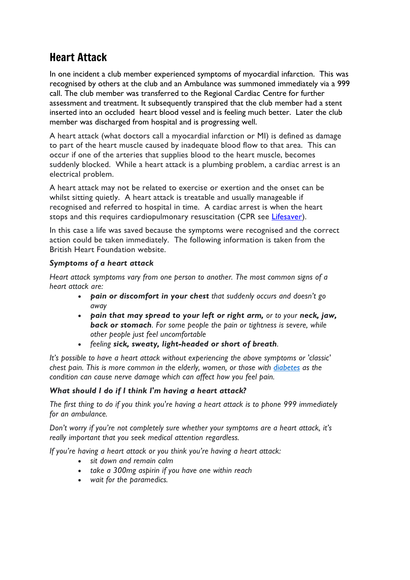# Heart Attack

In one incident a club member experienced symptoms of myocardial infarction. This was recognised by others at the club and an Ambulance was summoned immediately via a 999 call. The club member was transferred to the Regional Cardiac Centre for further assessment and treatment. It subsequently transpired that the club member had a stent inserted into an occluded heart blood vessel and is feeling much better. Later the club member was discharged from hospital and is progressing well.

A heart attack (what doctors call a myocardial infarction or MI) is defined as damage to part of the heart muscle caused by inadequate blood flow to that area. This can occur if one of the arteries that supplies blood to the heart muscle, becomes suddenly blocked. While a heart attack is a plumbing problem, a cardiac arrest is an electrical problem.

A heart attack may not be related to exercise or exertion and the onset can be whilst sitting quietly. A heart attack is treatable and usually manageable if recognised and referred to hospital in time. A cardiac arrest is when the heart stops and this requires cardiopulmonary resuscitation (CPR see [Lifesaver\)](https://life-saver.org.uk/).

In this case a life was saved because the symptoms were recognised and the correct action could be taken immediately. The following information is taken from the British Heart Foundation website.

## *Symptoms of a heart attack*

*Heart attack symptoms vary from one person to another. The most common signs of a heart attack are:*

- *pain or discomfort in your chest that suddenly occurs and doesn't go away*
- *pain that may spread to your left or right arm, or to your neck, jaw, back or stomach. For some people the pain or tightness is severe, while other people just feel uncomfortable*
- *feeling sick, sweaty, light-headed or short of breath.*

*It's possible to have a heart attack without experiencing the above symptoms or 'classic' chest pain. This is more common in the elderly, women, or those with [diabetes](https://www.bhf.org.uk/informationsupport/risk-factors/diabetes) as the condition can cause nerve damage which can affect how you feel pain.*

## *What should I do if I think I'm having a heart attack?*

*The first thing to do if you think you're having a heart attack is to phone 999 immediately for an ambulance.*

*Don't worry if you're not completely sure whether your symptoms are a heart attack, it's really important that you seek medical attention regardless.*

*If you're having a heart attack or you think you're having a heart attack:*

- *sit down and remain calm*
- *take a 300mg aspirin if you have one within reach*
- *wait for the paramedics.*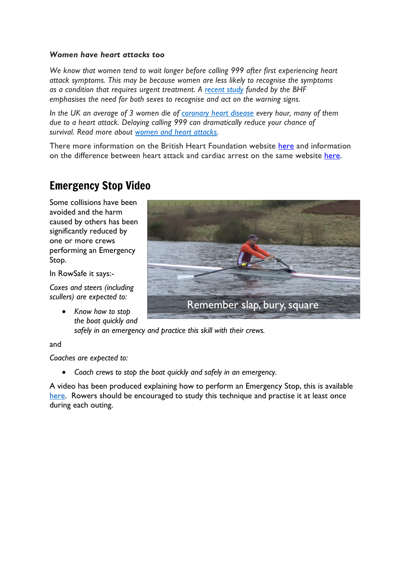#### *Women have heart attacks too*

*We know that women tend to wait longer before calling 999 after first experiencing heart attack symptoms. This may be because women are less likely to recognise the symptoms as a condition that requires urgent treatment. A [recent](https://www.bhf.org.uk/what-we-do/news-from-the-bhf/news-archive/2019/august/no-difference-in-key-heart-attack-symptoms-between-men-and-women) study funded by the BHF emphasises the need for both sexes to recognise and act on the warning signs.*

*In the UK an average of 3 women die of [coronary](https://www.bhf.org.uk/informationsupport/conditions/coronary-heart-disease) heart disease every hour, many of them due to a heart attack. Delaying calling 999 can dramatically reduce your chance of survival. Read more about women and heart [attacks.](https://www.bhf.org.uk/informationsupport/conditions/heart-attack/women-and-heart-attacks)*

T[here](https://www.bhf.org.uk/informationsupport/conditions/heart-attack) more information on the British Heart Foundation website here and information on the difference between heart attack and cardiac arrest on the same website [here.](https://www.bhf.org.uk/informationsupport/heart-matters-magazine/medical/heart-attack-and-cardiac-arrest)

## Emergency Stop Video

Some collisions have been avoided and the harm caused by others has been significantly reduced by one or more crews performing an Emergency Stop.

In RowSafe it says:-

*Coxes and steers (including scullers) are expected to:*

> • *Know how to stop the boat quickly and*



*safely in an emergency and practice this skill with their crews.*

and

*Coaches are expected to:*

• *Coach crews to stop the boat quickly and safely in an emergency.*

A video has been produced explaining how to perform an Emergency Stop, this is available [here.](https://youtu.be/3RBfI-O_AUo) Rowers should be encouraged to study this technique and practise it at least once during each outing.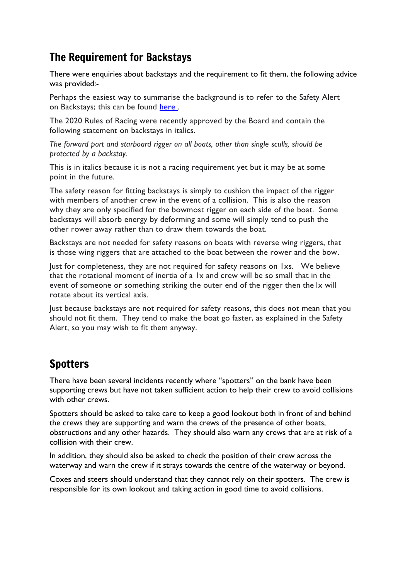# The Requirement for Backstays

There were enquiries about backstays and the requirement to fit them, the following advice was provided:-

Perhaps the easiest way to summarise the background is to refer to the Safety Alert on Backstays; this can be found [here .](https://www.britishrowing.org/wp-content/uploads/2019/04/Safety-Alert-Backstays-.pdf)

The 2020 Rules of Racing were recently approved by the Board and contain the following statement on backstays in italics.

*The forward port and starboard rigger on all boats, other than single sculls, should be protected by a backstay.*

This is in italics because it is not a racing requirement yet but it may be at some point in the future.

The safety reason for fitting backstays is simply to cushion the impact of the rigger with members of another crew in the event of a collision. This is also the reason why they are only specified for the bowmost rigger on each side of the boat. Some backstays will absorb energy by deforming and some will simply tend to push the other rower away rather than to draw them towards the boat.

Backstays are not needed for safety reasons on boats with reverse wing riggers, that is those wing riggers that are attached to the boat between the rower and the bow.

Just for completeness, they are not required for safety reasons on 1xs. We believe that the rotational moment of inertia of a 1x and crew will be so small that in the event of someone or something striking the outer end of the rigger then the1x will rotate about its vertical axis.

Just because backstays are not required for safety reasons, this does not mean that you should not fit them. They tend to make the boat go faster, as explained in the Safety Alert, so you may wish to fit them anyway.

# Spotters

There have been several incidents recently where "spotters" on the bank have been supporting crews but have not taken sufficient action to help their crew to avoid collisions with other crews.

Spotters should be asked to take care to keep a good lookout both in front of and behind the crews they are supporting and warn the crews of the presence of other boats, obstructions and any other hazards. They should also warn any crews that are at risk of a collision with their crew.

In addition, they should also be asked to check the position of their crew across the waterway and warn the crew if it strays towards the centre of the waterway or beyond.

Coxes and steers should understand that they cannot rely on their spotters. The crew is responsible for its own lookout and taking action in good time to avoid collisions.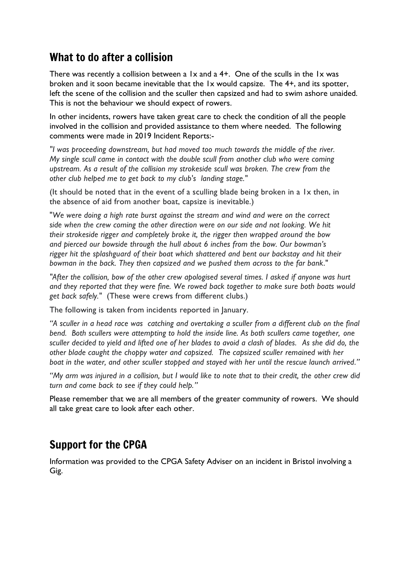## What to do after a collision

There was recently a collision between a  $1x$  and a  $4+$ . One of the sculls in the  $1x$  was broken and it soon became inevitable that the 1x would capsize. The 4+, and its spotter, left the scene of the collision and the sculler then capsized and had to swim ashore unaided. This is not the behaviour we should expect of rowers.

In other incidents, rowers have taken great care to check the condition of all the people involved in the collision and provided assistance to them where needed. The following comments were made in 2019 Incident Reports:-

*"I was proceeding downstream, but had moved too much towards the middle of the river. My single scull came in contact with the double scull from another club who were coming upstream. As a result of the collision my strokeside scull was broken. The crew from the other club helped me to get back to my club's landing stage."*

(It should be noted that in the event of a sculling blade being broken in a 1x then, in the absence of aid from another boat, capsize is inevitable.)

"*We were doing a high rate burst against the stream and wind and were on the correct side when the crew coming the other direction were on our side and not looking. We hit their strokeside rigger and completely broke it, the rigger then wrapped around the bow and pierced our bowside through the hull about 6 inches from the bow. Our bowman's rigger hit the splashguard of their boat which shattered and bent our backstay and hit their bowman in the back. They then capsized and we pushed them across to the far bank*."

*"After the collision, bow of the other crew apologised several times. I asked if anyone was hurt and they reported that they were fine. We rowed back together to make sure both boats would get back safely."* (These were crews from different clubs.)

The following is taken from incidents reported in January.

*"A sculler in a head race was catching and overtaking a sculler from a different club on the final bend. Both scullers were attempting to hold the inside line. As both scullers came together, one sculler decided to yield and lifted one of her blades to avoid a clash of blades. As she did do, the other blade caught the choppy water and capsized. The capsized sculler remained with her boat in the water, and other sculler stopped and stayed with her until the rescue launch arrived."*

*"My arm was injured in a collision, but I would like to note that to their credit, the other crew did turn and come back to see if they could help."*

Please remember that we are all members of the greater community of rowers. We should all take great care to look after each other.

# Support for the CPGA

Information was provided to the CPGA Safety Adviser on an incident in Bristol involving a Gig.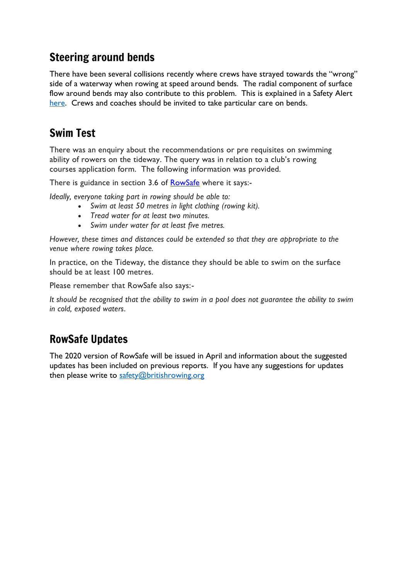# Steering around bends

There have been several collisions recently where crews have strayed towards the "wrong" side of a waterway when rowing at speed around bends. The radial component of surface flow around bends may also contribute to this problem. This is explained in a Safety Alert [here.](https://www.britishrowing.org/wp-content/uploads/2019/12/Safety-Alert-Keep-clear-of-Weirs-Dec-2019.pdf) Crews and coaches should be invited to take particular care on bends.

# Swim Test

There was an enquiry about the recommendations or pre requisites on swimming ability of rowers on the tideway. The query was in relation to a club's rowing courses application form. The following information was provided.

There is guidance in section 3.6 of **[RowSafe](https://www.britishrowing.org/wp-content/uploads/2019/04/Row-Safe-April-2019-online.pdf)** where it says:-

*Ideally, everyone taking part in rowing should be able to:*

- *Swim at least 50 metres in light clothing (rowing kit).*
- *Tread water for at least two minutes.*
- *Swim under water for at least five metres.*

*However, these times and distances could be extended so that they are appropriate to the venue where rowing takes place.* 

In practice, on the Tideway, the distance they should be able to swim on the surface should be at least 100 metres.

Please remember that RowSafe also says:-

It should be recognised that the ability to swim in a pool does not guarantee the ability to swim *in cold, exposed waters*.

# RowSafe Updates

The 2020 version of RowSafe will be issued in April and information about the suggested updates has been included on previous reports. If you have any suggestions for updates then please write to [safety@britishrowing.org](mailto:safety@britishrowing.org)